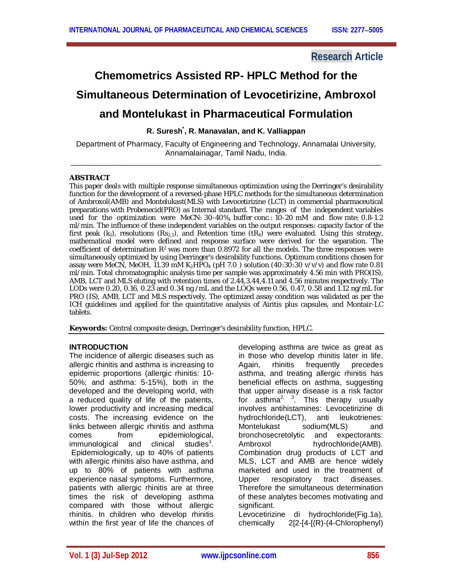# **Research Article**

# **Chemometrics Assisted RP- HPLC Method for the Simultaneous Determination of Levocetirizine, Ambroxol and Montelukast in Pharmaceutical Formulation**

## **R. Suresh\* , R. Manavalan, and K. Valliappan**

Department of Pharmacy, Faculty of Engineering and Technology, Annamalai University, Annamalainagar, Tamil Nadu, India. \_\_\_\_\_\_\_\_\_\_\_\_\_\_\_\_\_\_\_\_\_\_\_\_\_\_\_\_\_\_\_\_\_\_\_\_\_\_\_\_\_\_\_\_\_\_\_\_\_\_\_\_\_\_\_\_\_\_\_\_\_\_\_\_\_\_\_\_\_\_\_\_\_

#### **ABSTRACT**

This paper deals with multiple response simultaneous optimization using the Derringer's desirability function for the development of a reversed-phase HPLC methods for the simultaneous determination of Ambroxol(AMB) and Montelukast(MLS) with Levocetirizine (LCT) in commercial pharmaceutical preparations with Probenecid(PRO) as Internal standard. The ranges of the independent variables used for the optimization were MeCN: 30-40%, buffer conc.: 10-20 mM and flow rate: 0.8-1.2 ml/min. The influence of these independent variables on the output responses: capacity factor of the first peak  $(k_1)$ , resolutions  $(Rs_{2,3})$ , and Retention time  $(R_4)$  were evaluated. Using this strategy, mathematical model were defined and response surface were derived for the separation. The coefficient of determination *R*2 was more than 0.8972 for all the models. The three responses were simultaneously optimized by using Derringer's desirability functions. Optimum conditions chosen for assay were MeCN, MeOH, 11.39 mM K<sub>2</sub>HPO<sub>4</sub> (pH 7.0) solution (40:30:30 v/v/v) and flow rate 0.81 ml/min. Total chromatographic analysis time per sample was approximately 4.56 min with PRO(IS), AMB, LCT and MLS eluting with retention times of 2.44,3.44,4.11 and 4.56 minutes respectively. The LODs were 0.20, 0.16, 0.23 and 0.34 ng /mL and the LOQs were 0.56, 0.47, 0.58 and 1.12 ng/mL for PRO (IS), AMB, LCT and MLS respectively. The optimized assay condition was validated as per the ICH guidelines and applied for the quantitative analysis of Airitis plus capsules, and Montair-LC tablets.

**Keywords:** Central composite design, Derringer's desirability function, HPLC.

## **INTRODUCTION**

The incidence of allergic diseases such as allergic rhinitis and asthma is increasing to epidemic proportions (allergic rhinitis: 10- 50%; and asthma: 5-15%), both in the developed and the developing world, with a reduced quality of life of the patients, lower productivity and increasing medical costs. The increasing evidence on the links between allergic rhinitis and asthma comes from epidemiological, immunological and clinical studies<sup>1</sup>. Epidemiologically, up to 40% of patients with allergic rhinitis also have asthma, and up to 80% of patients with asthma experience nasal symptoms. Furthermore, patients with allergic rhinitis are at three times the risk of developing asthma compared with those without allergic rhinitis. In children who develop rhinitis within the first year of life the chances of developing asthma are twice as great as in those who develop rhinitis later in life. Again, rhinitis frequently precedes asthma, and treating allergic rhinitis has beneficial effects on asthma, suggesting that upper airway disease is a risk factor for asthma<sup>2, 3</sup>. This therapy usually involves antihistamines: Levocetirizine di hydrochloride(LCT), anti leukotrienes: Montelukast sodium(MLS) and bronchosecretolytic and expectorants: Ambroxol hydrochloride(AMB). Combination drug products of LCT and MLS, LCT and AMB are hence widely marketed and used in the treatment of Upper resopiratory tract diseases. Therefore the simultaneous determination of these analytes becomes motivating and significant.

Levocetirizine di hydrochloride(Fig.1a), chemically 2[2-[4-[(R)-(4-Chlorophenyl)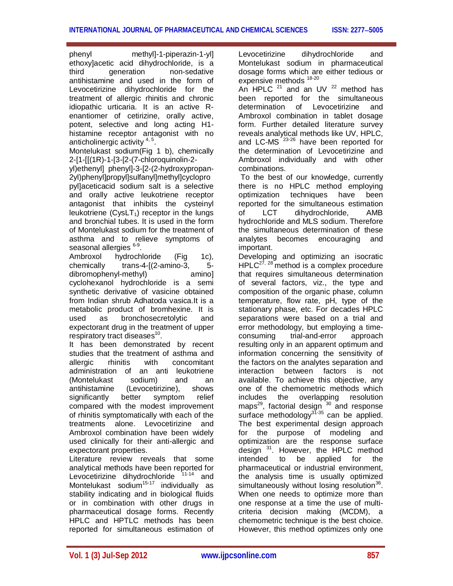phenyl methyl]-1-piperazin-1-yl] ethoxy]acetic acid dihydrochloride, is a third generation non-sedative antihistamine and used in the form of Levocetirizine dihydrochloride for the treatment of allergic rhinitis and chronic idiopathic urticaria. It is an active Renantiomer of cetirizine, orally active, potent, selective and long acting H1 histamine receptor antagonist with no anticholinergic activity <sup>4, 5</sup>.

Montelukast sodium(Fig 1 b), chemically 2-[1-[[(1R)-1-[3-[2-(7-chloroquinolin-2-

yl)ethenyl] phenyl]-3-[2-(2-hydroxypropan-2yl)phenyl]propyl]sulfanyl]methyl]cyclopro pyl]aceticacid sodium salt is a selective and orally active leukotriene receptor antagonist that inhibits the cysteinyl leukotriene  $(CvSLT_1)$  receptor in the lungs and bronchial tubes. It is used in the form of Montelukast sodium for the treatment of asthma and to relieve symptoms of seasonal allergies <sup>6-9</sup>.

Ambroxol hydrochloride (Fig 1c), chemically trans-4-[(2-amino-3, 5 dibromophenyl-methyl) amino] cyclohexanol hydrochloride is a semi synthetic derivative of vasicine obtained from Indian shrub Adhatoda vasica.It is a metabolic product of bromhexine. It is used as bronchosecretolytic and expectorant drug in the treatment of upper respiratory tract diseases<sup>10</sup>.

It has been demonstrated by recent studies that the treatment of asthma and allergic rhinitis with concomitant administration of an anti leukotriene<br>(Montelukast sodium) and an (Montelukast sodium) and an antihistamine (Levocetirizine), shows<br>significantly better symptom relief significantly better symptom relief compared with the modest improvement of rhinitis symptomatically with each of the treatments alone. Levocetirizine and Ambroxol combination have been widely used clinically for their anti-allergic and expectorant properties.

Literature review reveals that some analytical methods have been reported for Levocetirizine dihydrochloride <sup>11-14</sup> and Montelukast sodium<sup>15-17</sup> individually as stability indicating and in biological fluids or in combination with other drugs in pharmaceutical dosage forms. Recently HPLC and HPTLC methods has been reported for simultaneous estimation of

Levocetirizine dihydrochloride and Montelukast sodium in pharmaceutical dosage forms which are either tedious or expensive methods  $18-20$ 

An HPLC  $21$  and an UV  $22$  method has been reported for the simultaneous determination of Levocetirizine and Ambroxol combination in tablet dosage form. Further detailed literature survey reveals analytical methods like UV, HPLC, and LC-MS<sup>23-26</sup> have been reported for the determination of Levocetirizine and Ambroxol individually and with other combinations.

To the best of our knowledge, currently there is no HPLC method employing optimization techniques have been reported for the simultaneous estimation of LCT dihydrochloride, AMB hydrochloride and MLS sodium. Therefore the simultaneous determination of these analytes becomes encouraging and important.

Developing and optimizing an isocratic  $HPLC^{27, 28}$  method is a complex procedure that requires simultaneous determination of several factors, viz., the type and composition of the organic phase, column temperature, flow rate, pH, type of the stationary phase, etc. For decades HPLC separations were based on a trial and error methodology, but employing a timeconsuming trial-and-error approach resulting only in an apparent optimum and information concerning the sensitivity of the factors on the analytes separation and interaction between factors is not available. To achieve this objective, any one of the chemometric methods which includes the overlapping resolution maps<sup>29</sup>, factorial design <sup>30</sup> and response surface methodology<sup>31-35</sup> can be applied. The best experimental design approach for the purpose of modeling and optimization are the response surface design <sup>31</sup>. However, the HPLC method intended to be applied for the pharmaceutical or industrial environment, the analysis time is usually optimized simultaneously without losing resolution<sup>36</sup>. When one needs to optimize more than one response at a time the use of multicriteria decision making (MCDM), a chemometric technique is the best choice. However, this method optimizes only one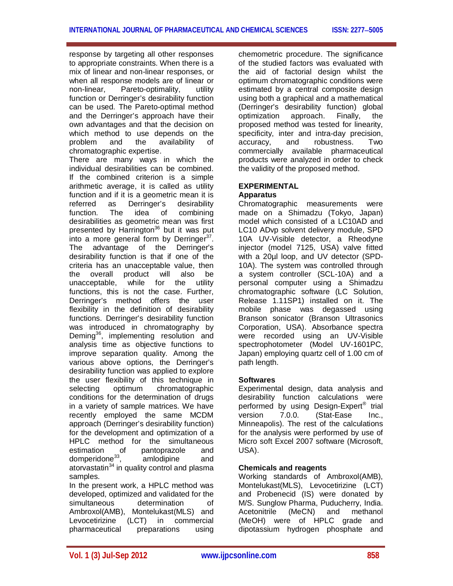response by targeting all other responses to appropriate constraints. When there is a mix of linear and non-linear responses, or when all response models are of linear or non-linear, Pareto-optimality, utility function or Derringer's desirability function can be used. The Pareto-optimal method and the Derringer's approach have their own advantages and that the decision on which method to use depends on the<br>problem and the availability of problem and the availability of chromatographic expertise.

There are many ways in which the individual desirabilities can be combined. If the combined criterion is a simple arithmetic average, it is called as utility function and if it is a geometric mean it is referred as Derringer's desirability function. The idea of combining desirabilities as geometric mean was first presented by Harrington<sup>36</sup> but it was put into a more general form by Derringer<sup>37</sup>. The advantage of the Derringer's desirability function is that if one of the criteria has an unacceptable value, then the overall product will also be unacceptable, while for the utility functions, this is not the case. Further, Derringer's method offers the user flexibility in the definition of desirability functions. Derringer's desirability function was introduced in chromatography by Deming<sup>36</sup>, implementing resolution and analysis time as objective functions to improve separation quality. Among the various above options, the Derringer's desirability function was applied to explore the user flexibility of this technique in selecting optimum chromatographic conditions for the determination of drugs in a variety of sample matrices. We have recently employed the same MCDM approach (Derringer's desirability function) for the development and optimization of a HPLC method for the simultaneous estimation of pantoprazole and domperidone<sup>33</sup>, amlodipine and atorvastatin $34$  in quality control and plasma samples.

In the present work, a HPLC method was developed, optimized and validated for the simultaneous determination of Ambroxol(AMB), Montelukast(MLS) and<br>Levocetirizine (LCT) in commercial Levocetirizine (LCT) in pharmaceutical preparations using

chemometric procedure. The significance of the studied factors was evaluated with the aid of factorial design whilst the optimum chromatographic conditions were estimated by a central composite design using both a graphical and a mathematical (Derringer's desirability function) global optimization approach. Finally, the proposed method was tested for linearity, specificity, inter and intra-day precision,<br>accuracy, and robustness. Two robustness. Two commercially available pharmaceutical products were analyzed in order to check the validity of the proposed method.

## **EXPERIMENTAL**

## **Apparatus**

Chromatographic measurements were made on a Shimadzu (Tokyo, Japan) model which consisted of a LC10AD and LC10 ADvp solvent delivery module, SPD 10A UV-Visible detector, a Rheodyne injector (model 7125, USA) valve fitted with a 20µl loop, and UV detector (SPD-10A). The system was controlled through a system controller (SCL-10A) and a personal computer using a Shimadzu chromatographic software (LC Solution, Release 1.11SP1) installed on it. The mobile phase was degassed using Branson sonicator (Branson Ultrasonics Corporation, USA). Absorbance spectra were recorded using an UV-Visible spectrophotometer (Model UV-1601PC, Japan) employing quartz cell of 1.00 cm of path length.

## **Softwares**

Experimental design, data analysis and desirability function calculations were performed by using Design-Expert® trial version 7.0.0. (Stat-Ease Inc., Minneapolis). The rest of the calculations for the analysis were performed by use of Micro soft Excel 2007 software (Microsoft, USA).

## **Chemicals and reagents**

Working standards of Ambroxol(AMB), Montelukast(MLS), Levocetirizine (LCT) and Probenecid (IS) were donated by M/S. Sunglow Pharma, Puducherry, India. Acetonitrile (MeCN) and methanol (MeOH) were of HPLC grade and dipotassium hydrogen phosphate and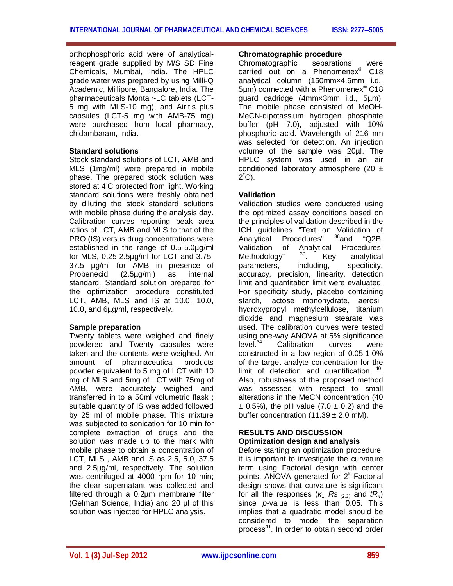orthophosphoric acid were of analyticalreagent grade supplied by M/S SD Fine Chemicals, Mumbai, India. The HPLC grade water was prepared by using Milli-Q Academic, Millipore, Bangalore, India. The pharmaceuticals Montair-LC tablets (LCT-5 mg with MLS-10 mg), and Airitis plus capsules (LCT-5 mg with AMB-75 mg) were purchased from local pharmacy, chidambaram, India.

## **Standard solutions**

Stock standard solutions of LCT, AMB and MLS (1mg/ml) were prepared in mobile phase. The prepared stock solution was stored at 4◦C protected from light. Working standard solutions were freshly obtained by diluting the stock standard solutions with mobile phase during the analysis day. Calibration curves reporting peak area ratios of LCT, AMB and MLS to that of the PRO (IS) versus drug concentrations were established in the range of 0.5-5.0µg/ml for MLS, 0.25-2.5µg/ml for LCT and 3.75- 37.5 µg/ml for AMB in presence of Probenecid (2.5µg/ml) as internal standard. Standard solution prepared for the optimization procedure constituted LCT, AMB, MLS and IS at 10.0, 10.0, 10.0, and 6µg/ml, respectively.

## **Sample preparation**

Twenty tablets were weighed and finely powdered and Twenty capsules were taken and the contents were weighed. An amount of pharmaceutical products powder equivalent to 5 mg of LCT with 10 mg of MLS and 5mg of LCT with 75mg of AMB, were accurately weighed and transferred in to a 50ml volumetric flask ; suitable quantity of IS was added followed by 25 ml of mobile phase. This mixture was subjected to sonication for 10 min for complete extraction of drugs and the solution was made up to the mark with mobile phase to obtain a concentration of LCT, MLS , AMB and IS as 2.5, 5.0, 37.5 and 2.5µg/ml, respectively. The solution was centrifuged at 4000 rpm for 10 min; the clear supernatant was collected and filtered through a 0.2µm membrane filter (Gelman Science, India) and 20 µl of this solution was injected for HPLC analysis.

## **Chromatographic procedure**

Chromatographic separations were carried out on a Phenomenex® C18 analytical column (150mm×4.6mm i.d., 5µm) connected with a Phenomenex® C18 guard cadridge (4mm×3mm i.d., 5µm). The mobile phase consisted of MeOH-MeCN-dipotassium hydrogen phosphate buffer (pH 7.0), adjusted with 10% phosphoric acid. Wavelength of 216 nm was selected for detection. An injection volume of the sample was 20µl. The HPLC system was used in an air conditioned laboratory atmosphere (20  $\pm$ 2 °C).

## **Validation**

Validation studies were conducted using the optimized assay conditions based on the principles of validation described in the ICH guidelines "Text on Validation of<br>Analytical Procedures" <sup>38</sup>and "Q2B, Analytical Procedures" <sup>38</sup>and "Q2B, Validation of Analytical Procedures:<br>Methodology<sup>n 39</sup> Key analytical Methodology"  $39$ . Key analytical parameters, including, specificity, accuracy, precision, linearity, detection limit and quantitation limit were evaluated. For specificity study, placebo containing starch, lactose monohydrate, aerosil, hydroxypropyl methylcellulose, titanium dioxide and magnesium stearate was used. The calibration curves were tested using one-way ANOVA at 5% significance<br>level.<sup>34</sup> Calibration curves were Calibration curves were constructed in a low region of 0.05-1.0% of the target analyte concentration for the limit of detection and quantification  $40$ . Also, robustness of the proposed method was assessed with respect to small alterations in the MeCN concentration (40  $\pm$  0.5%), the pH value (7.0  $\pm$  0.2) and the buffer concentration  $(11.39 \pm 2.0 \text{ mM})$ .

## **RESULTS AND DISCUSSION Optimization design and analysis**

Before starting an optimization procedure, it is important to investigate the curvature term using Factorial design with center points. ANOVA generated for 2<sup>k</sup> Factorial design shows that curvature is significant for all the responses  $(k_1, Rs_{(2,3)}$  and  $tR_4$ ) since *p-*value is less than 0.05. This implies that a quadratic model should be considered to model the separation process<sup>41</sup>. In order to obtain second order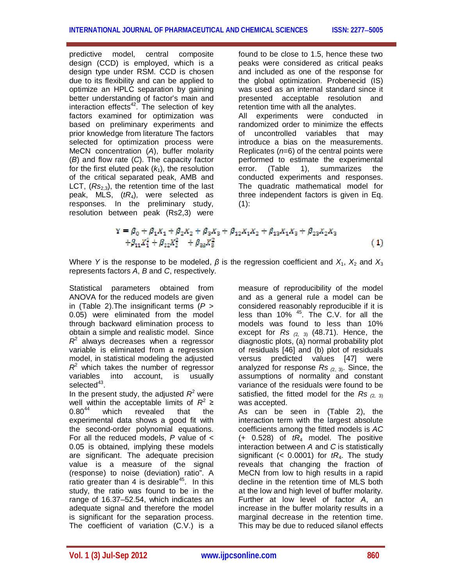predictive model, central composite design (CCD) is employed, which is a design type under RSM. CCD is chosen due to its flexibility and can be applied to optimize an HPLC separation by gaining better understanding of factor's main and interaction effects<sup>42</sup>. The selection of key factors examined for optimization was based on preliminary experiments and prior knowledge from literature The factors selected for optimization process were MeCN concentration (*A*), buffer molarity (*B*) and flow rate (*C*). The capacity factor for the first eluted peak  $(k_1)$ , the resolution of the critical separated peak, AMB and LCT,  $(Rs_{2,3})$ , the retention time of the last peak, MLS, (*tR*4), were selected as responses. In the preliminary study, resolution between peak (Rs2,3) were

found to be close to 1.5, hence these two peaks were considered as critical peaks and included as one of the response for the global optimization. Probenecid (IS) was used as an internal standard since it presented acceptable resolution and retention time with all the analytes. All experiments were conducted in randomized order to minimize the effects of uncontrolled variables that may introduce a bias on the measurements. Replicates (*n*=6) of the central points were performed to estimate the experimental error. (Table 1), summarizes the conducted experiments and responses. The quadratic mathematical model for three independent factors is given in Eq.  $(1)$ :

$$
Y = \beta_0 + \beta_1 X_1 + \beta_2 X_2 + \beta_3 X_3 + \beta_{12} X_1 X_2 + \beta_{13} X_1 X_3 + \beta_{23} X_2 X_3
$$
  
 
$$
+ \beta_{11} X_1^2 + \beta_{22} X_2^2 + \beta_{33} X_3^2
$$
 (1)

Where *Y* is the response to be modeled,  $\beta$  is the regression coefficient and  $X_1$ ,  $X_2$  and  $X_3$ represents factors *A*, *B* and *C*, respectively.

Statistical parameters obtained from ANOVA for the reduced models are given in (Table 2).The insignificant terms (*P* > 0.05) were eliminated from the model through backward elimination process to obtain a simple and realistic model. Since  $R<sup>2</sup>$  always decreases when a regressor variable is eliminated from a regression model, in statistical modeling the adjusted  $R<sup>2</sup>$  which takes the number of regressor variables into account, is usually selected<sup>43</sup>.

In the present study, the adjusted  $R^2$  were well within the acceptable limits of  $R^2 \geq$ 0.80<sup>44</sup> which revealed that the experimental data shows a good fit with the second-order polynomial equations. For all the reduced models, *P* value of < 0.05 is obtained, implying these models are significant. The adequate precision value is a measure of the signal (response) to noise (deviation) ratio". A ratio greater than 4 is desirable<sup>45</sup>. In this study, the ratio was found to be in the range of 16.37–52.54, which indicates an adequate signal and therefore the model is significant for the separation process. The coefficient of variation (C.V.) is a measure of reproducibility of the model and as a general rule a model can be considered reasonably reproducible if it is less than 10% <sup>45</sup>. The C.V. for all the models was found to less than 10% except for *Rs (*2, 3) (48.71). Hence, the diagnostic plots, (a) normal probability plot of residuals [46] and (b) plot of residuals versus predicted values [47] were analyzed for response *Rs (*2, 3). Since, the assumptions of normality and constant variance of the residuals were found to be satisfied, the fitted model for the *Rs (*2, 3) was accepted.

As can be seen in (Table 2), the interaction term with the largest absolute coefficients among the fitted models is *AC*  (+ 0.528) of *tR*<sup>4</sup> model. The positive interaction between *A* and *C* is statistically significant (<  $0.0001$ ) for  $tR<sub>4</sub>$ . The study reveals that changing the fraction of MeCN from low to high results in a rapid decline in the retention time of MLS both at the low and high level of buffer molarity. Further at low level of factor *A*, an increase in the buffer molarity results in a marginal decrease in the retention time. This may be due to reduced silanol effects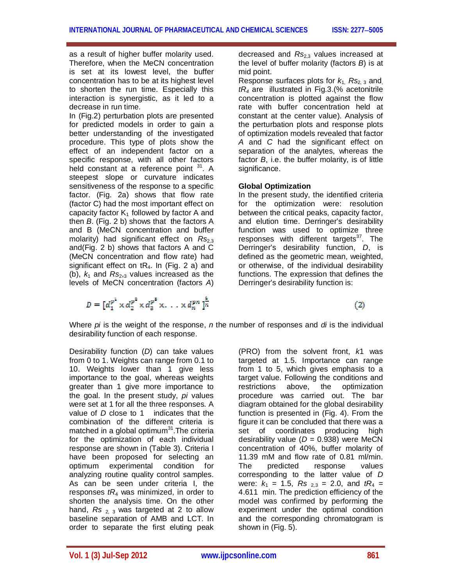as a result of higher buffer molarity used. Therefore, when the MeCN concentration is set at its lowest level, the buffer concentration has to be at its highest level to shorten the run time. Especially this interaction is synergistic, as it led to a decrease in run time.

In (Fig.2) perturbation plots are presented for predicted models in order to gain a better understanding of the investigated procedure. This type of plots show the effect of an independent factor on a specific response, with all other factors held constant at a reference point  $31$ . A steepest slope or curvature indicates sensitiveness of the response to a specific factor. (Fig. 2a) shows that flow rate (factor C) had the most important effect on capacity factor  $K_1$  followed by factor A and then *B*. (Fig. 2 b) shows that the factors A and B (MeCN concentration and buffer molarity) had significant effect on Rs<sub>2.3</sub> and(Fig. 2 b) shows that factors A and C (MeCN concentration and flow rate) had significant effect on  $tR_4$ . In (Fig. 2 a) and (b),  $k_1$  and  $Rs_{2,3}$  values increased as the levels of MeCN concentration (factors *A*)

 $D = [d_1^{p^1} \times d_2^{p^2} \times d_3^{p^3} \times \ldots \times d_n^{pn}]^{\frac{1}{n}}$ 

decreased and *Rs*<sub>23</sub> values increased at the level of buffer molarity (factors *B*) is at mid point.

Response surfaces plots for  $k_1$ ,  $Rs_{2,3}$  and, *tR<sup>4</sup>* are illustrated in Fig.3.(% acetonitrile concentration is plotted against the flow rate with buffer concentration held at constant at the center value). Analysis of the perturbation plots and response plots of optimization models revealed that factor *A* and *C* had the significant effect on separation of the analytes, whereas the factor *B*, i.e. the buffer molarity, is of little significance.

## **Global Optimization**

In the present study, the identified criteria for the optimization were: resolution between the critical peaks, capacity factor, and elution time. Derringer's desirability function was used to optimize three responses with different targets $37$ . The Derringer's desirability function, *D*, is defined as the geometric mean, weighted, or otherwise, of the individual desirability functions. The expression that defines the Derringer's desirability function is:

 $(2)$ 

Where *pi* is the weight of the response, *n* the number of responses and *di* is the individual desirability function of each response.

Desirability function (*D*) can take values from 0 to 1. Weights can range from 0.1 to 10. Weights lower than 1 give less importance to the goal, whereas weights greater than 1 give more importance to the goal. In the present study, *pi* values were set at 1 for all the three responses. A value of *D* close to 1 indicates that the combination of the different criteria is matched in a global optimum $31$ . The criteria for the optimization of each individual response are shown in (Table 3). Criteria I have been proposed for selecting an optimum experimental condition for analyzing routine quality control samples. As can be seen under criteria I, the responses *tR*<sup>4</sup> was minimized, in order to shorten the analysis time. On the other hand,  $Rs_{2,3}$  was targeted at 2 to allow baseline separation of AMB and LCT. In order to separate the first eluting peak (PRO) from the solvent front, *k*1 was targeted at 1.5. Importance can range from 1 to 5, which gives emphasis to a target value. Following the conditions and restrictions above, the optimization procedure was carried out. The bar diagram obtained for the global desirability function is presented in (Fig. 4). From the figure it can be concluded that there was a set of coordinates producing high desirability value (*D* = 0.938) were MeCN concentration of 40%, buffer molarity of 11.39 mM and flow rate of 0.81 ml/min. The predicted response values corresponding to the latter value of *D*  were:  $k_1 = 1.5$ ,  $Rs_{2.3} = 2.0$ , and  $tR_4 =$ 4.611 min. The prediction efficiency of the model was confirmed by performing the experiment under the optimal condition and the corresponding chromatogram is shown in (Fig. 5).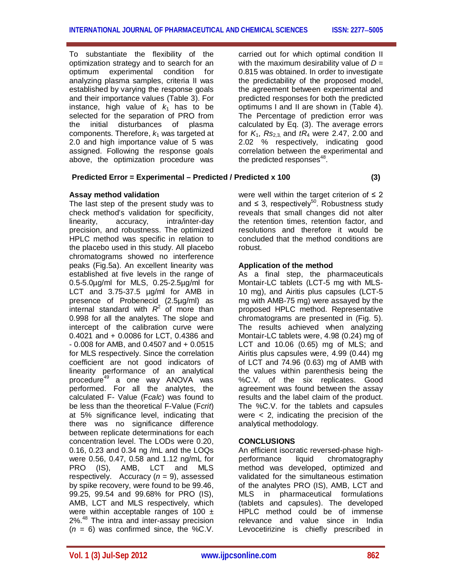To substantiate the flexibility of the optimization strategy and to search for an optimum experimental condition for analyzing plasma samples, criteria II was established by varying the response goals and their importance values (Table 3). For instance, high value of  $k_1$  has to be selected for the separation of PRO from the initial disturbances of plasma components. Therefore,  $k_1$  was targeted at 2.0 and high importance value of 5 was assigned. Following the response goals above, the optimization procedure was

## **Predicted Error = Experimental – Predicted / Predicted x 100 (3)**

## **Assay method validation**

The last step of the present study was to check method's validation for specificity, linearity, accuracy, intra/inter-day precision, and robustness. The optimized HPLC method was specific in relation to the placebo used in this study. All placebo chromatograms showed no interference peaks (Fig.5a). An excellent linearity was established at five levels in the range of 0.5-5.0µg/ml for MLS, 0.25-2.5µg/ml for LCT and 3.75-37.5 µg/ml for AMB in presence of Probenecid (2.5µg/ml) as internal standard with  $R^2$  of more than 0.998 for all the analytes. The slope and intercept of the calibration curve were 0.4021 and + 0.0086 for LCT, 0.4386 and - 0.008 for AMB, and 0.4507 and + 0.0515 for MLS respectively. Since the correlation coefficient are not good indicators of linearity performance of an analytical procedure<sup>49</sup> a one way ANOVA was performed. For all the analytes, the calculated F- Value (F*calc*) was found to be less than the theoretical F-Value (F*crit*) at 5% significance level, indicating that there was no significance difference between replicate determinations for each concentration level. The LODs were 0.20, 0.16, 0.23 and 0.34 ng /mL and the LOQs were 0.56, 0.47, 0.58 and 1.12 ng/mL for PRO (IS), AMB, LCT and MLS respectively. Accuracy (*n* = 9), assessed by spike recovery, were found to be 99.46, 99.25, 99.54 and 99.68% for PRO (IS), AMB, LCT and MLS respectively, which were within acceptable ranges of 100  $\pm$ 2%.<sup>48</sup> The intra and inter-assay precision  $(n = 6)$  was confirmed since, the %C.V. carried out for which optimal condition II with the maximum desirability value of  $D =$ 0.815 was obtained. In order to investigate the predictability of the proposed model, the agreement between experimental and predicted responses for both the predicted optimums I and II are shown in (Table 4). The Percentage of prediction error was calculated by Eq. (3). The average errors for  $K_1$ ,  $Rs_{2,3}$  and  $tR_4$  were 2.47, 2.00 and 2.02 % respectively, indicating good correlation between the experimental and the predicted responses $^{48}$ .

were well within the target criterion of  $\leq 2$ and  $\leq$  3, respectively<sup>50</sup>. Robustness study reveals that small changes did not alter the retention times, retention factor, and resolutions and therefore it would be concluded that the method conditions are robust.

## **Application of the method**

As a final step, the pharmaceuticals Montair-LC tablets (LCT-5 mg with MLS-10 mg), and Airitis plus capsules (LCT-5 mg with AMB-75 mg) were assayed by the proposed HPLC method. Representative chromatograms are presented in (Fig. 5). The results achieved when analyzing Montair-LC tablets were, 4.98 (0.24) mg of LCT and 10.06 (0.65) mg of MLS; and Airitis plus capsules were, 4.99 (0.44) mg of LCT and 74.96 (0.63) mg of AMB with the values within parenthesis being the %C.V. of the six replicates. Good agreement was found between the assay results and the label claim of the product. The %C.V. for the tablets and capsules were  $\lt$  2, indicating the precision of the analytical methodology.

## **CONCLUSIONS**

An efficient isocratic reversed-phase highperformance liquid chromatography method was developed, optimized and validated for the simultaneous estimation of the analytes PRO (IS), AMB, LCT and MLS in pharmaceutical formulations (tablets and capsules). The developed HPLC method could be of immense relevance and value since in India Levocetirizine is chiefly prescribed in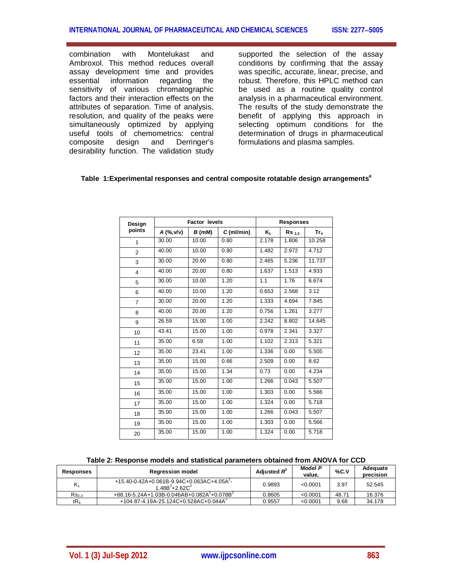combination with Montelukast and Ambroxol. This method reduces overall assay development time and provides essential information regarding the sensitivity of various chromatographic factors and their interaction effects on the attributes of separation. Time of analysis, resolution, and quality of the peaks were simultaneously optimized by applying useful tools of chemometrics: central<br>composite design and Derringer's composite design and Derringer's desirability function. The validation study

supported the selection of the assay conditions by confirming that the assay was specific, accurate, linear, precise, and robust. Therefore, this HPLC method can be used as a routine quality control analysis in a pharmaceutical environment. The results of the study demonstrate the benefit of applying this approach in selecting optimum conditions for the determination of drugs in pharmaceutical formulations and plasma samples.

#### **Table 1:Experimental responses and central composite rotatable design arrangements<sup>a</sup>**

| Design         | <b>Factor levels</b> |        |              | <b>Responses</b> |                   |                    |  |
|----------------|----------------------|--------|--------------|------------------|-------------------|--------------------|--|
| points         | A (%, v/v)           | B (mM) | $C$ (ml/min) | $K_1$            | Rs <sub>2.3</sub> | $Tr_{4}$           |  |
| 1              | 30.00                | 10.00  | 0.80         | 2.178            | 1.806             | 10.258             |  |
| $\overline{2}$ | 40.00                | 10.00  | 0.80         | 1.482            | 2.972             | 4.712              |  |
| 3              | 30.00                | 20.00  | 0.80         | 2.465            | 5.236             | 11.737             |  |
| 4              | 40.00                | 20.00  | 0.80         | 1.637            | 1.513             | 4.933              |  |
| 5              | 30.00                | 10.00  | 1.20         | 1.1              | 1.76              | 6.674              |  |
| 6              | 40.00                | 10.00  | 1.20         | 0.653            | 2.568             | 3.12               |  |
| $\overline{7}$ | 30.00                | 20.00  | 1.20         | 1.333            | 4.694             | 7.845              |  |
| 8              | 40.00                | 20.00  | 1.20         | 0.756            | 1.261             | 3.277              |  |
| 9              | 26.59                | 15.00  | 1.00         | 2.242            | 8.802             | 14.645             |  |
| 10             | 43.41                | 15.00  | 1.00         | 0.978            | 2.341             | 3.327              |  |
| 11             | 35.00                | 6.59   | 1.00         | 1.102            | 2.313             | 5.321              |  |
| 12             | 35.00                | 23.41  | 1.00         | 1.336            | 0.00              | 5.505              |  |
| 13             | 35.00                | 15.00  | 0.66         | 2.509            | 0.00              | 8.62               |  |
| 14             | 35.00                | 15.00  | 1.34         | 0.73             | 0.00              | $\overline{4.234}$ |  |
| 15             | 35.00                | 15.00  | 1.00         | 1.266            | 0.043             | 5.507              |  |
| 16             | 35.00                | 15.00  | 1.00         | 1.303            | 0.00              | 5.566              |  |
| 17             | 35.00                | 15.00  | 1.00         | 1.324            | 0.00              | 5.718              |  |
| 18             | 35.00                | 15.00  | 1.00         | 1.266            | 0.043             | 5.507              |  |
| 19             | 35.00                | 15.00  | 1.00         | 1.303            | 0.00              | 5.566              |  |
| 20             | 35.00                | 15.00  | 1.00         | 1.324            | 0.00              | 5.718              |  |

**Table 2: Response models and statistical parameters obtained from ANOVA for CCD**

| <b>Responses</b> | <b>Regression model</b>                                                                         | Adjusted R <sup>2</sup> | Model <i>P</i><br>value. | $\%$ C.V | Adequate<br>precision |
|------------------|-------------------------------------------------------------------------------------------------|-------------------------|--------------------------|----------|-----------------------|
| K1               | $+15.40 - 0.42A + 0.061B - 9.94C + 0.063AC + 4.05A^2$<br>1.48B <sup>2</sup> +2.62C <sup>2</sup> | 0.9893                  | < 0.0001                 | 3.97     | 52.545                |
| $Rs_{2.3}$       | $+88.16 - 5.24A + 1.03B - 0.046AB + 0.082A^2 + 0.078B^2$                                        | 0.8605                  | < 0.0001                 | 48.71    | 16.376                |
| tR <sub>4</sub>  | $+104.87 - 4.19A - 25.124C + 0.528AC + 0.044A^2$                                                | 0.9557                  | < 0.0001                 | 9.68     | 34.178                |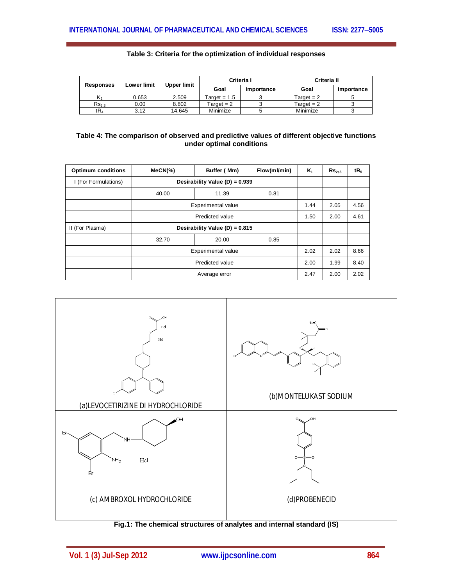| Table 3: Criteria for the optimization of individual responses |  |  |  |
|----------------------------------------------------------------|--|--|--|
|----------------------------------------------------------------|--|--|--|

|            | <b>Lower limit</b> | Upper limit | Criteria I         |            | <b>Criteria II</b> |            |
|------------|--------------------|-------------|--------------------|------------|--------------------|------------|
| Responses  |                    |             | Goal               | Importance | Goal               | Importance |
|            | 0.653              | 2.509       | $T$ arɑ $et = 1.5$ |            | Target $= 2$       |            |
| $Rs_{2.3}$ | 0.00               | 8.802       | Target $= 2$       |            | Target $= 2$       |            |
| tR4        | 3.12               | 14.645      | Minimize           |            | Minimize           |            |

#### **Table 4: The comparison of observed and predictive values of different objective functions under optimal conditions**

| <b>Optimum conditions</b> | $MeCN$ (%)                     | Buffer (Mm)        | Flow(ml/min) | $K_1$ | $\mathsf{Rs}_{2,3}$ | tR <sub>5</sub> |
|---------------------------|--------------------------------|--------------------|--------------|-------|---------------------|-----------------|
| I (For Formulations)      | Desirability Value (D) = 0.939 |                    |              |       |                     |                 |
|                           | 40.00                          | 11.39              | 0.81         |       |                     |                 |
|                           |                                | Experimental value |              |       |                     | 4.56            |
|                           | Predicted value                |                    |              |       | 2.00                | 4.61            |
| II (For Plasma)           | Desirability Value (D) = 0.815 |                    |              |       |                     |                 |
|                           | 32.70                          | 20.00              | 0.85         |       |                     |                 |
|                           | Experimental value             |                    |              | 2.02  | 2.02                | 8.66            |
|                           | Predicted value                |                    |              | 2.00  | 1.99                | 8.40            |
|                           | Average error                  |                    |              |       | 2.00                | 2.02            |



**Fig.1: The chemical structures of analytes and internal standard (IS)**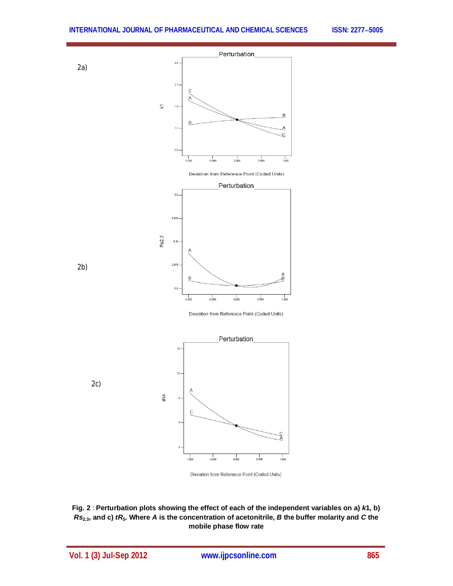

Deviation from Reference Point (Coded Units)

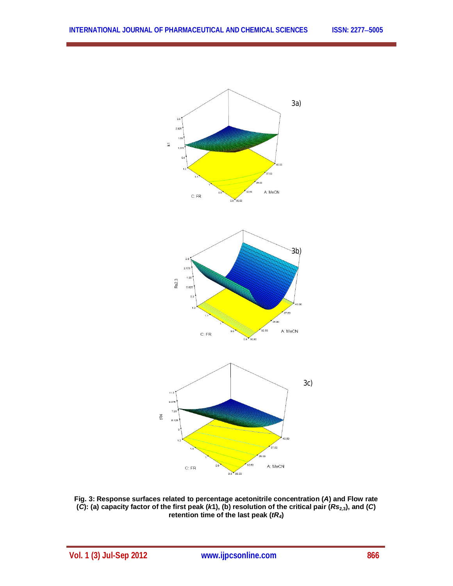

**Fig. 3: Response surfaces related to percentage acetonitrile concentration (***A***) and Flow rate (***C***): (a) capacity factor of the first peak (***k***1), (b) resolution of the critical pair (***Rs***2,3), and (***C***) retention time of the last peak (***tR4***)**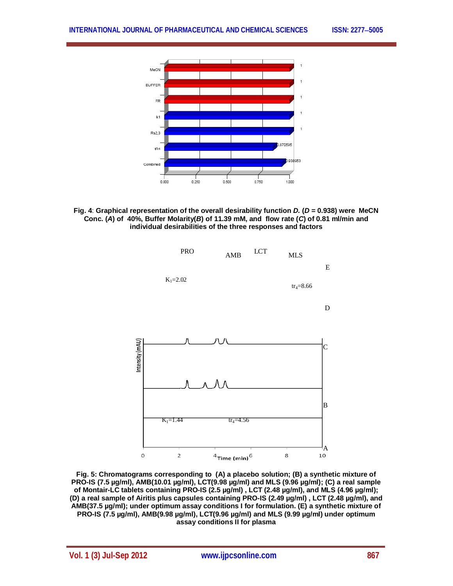





**Fig. 5: Chromatograms corresponding to (A) a placebo solution; (B) a synthetic mixture of PRO-IS (7.5 µg/ml), AMB(10.01 µg/ml), LCT(9.98 µg/ml) and MLS (9.96 µg/ml); (C) a real sample of Montair-LC tablets containing PRO-IS (2.5 µg/ml) , LCT (2.48 µg/ml), and MLS (4.96 µg/ml); (D) a real sample of Airitis plus capsules containing PRO-IS (2.49 µg/ml) , LCT (2.48 µg/ml), and AMB(37.5 µg/ml); under optimum assay conditions I for formulation. (E) a synthetic mixture of PRO-IS (7.5 µg/ml), AMB(9.98 µg/ml), LCT(9.96 µg/ml) and MLS (9.99 µg/ml) under optimum assay conditions II for plasma**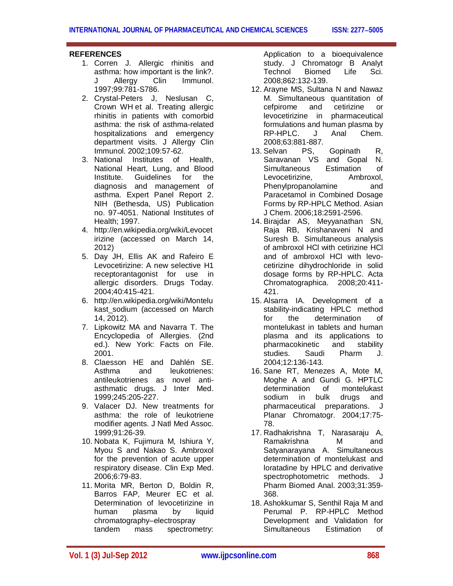## **REFERENCES**

- 1. Corren J. Allergic rhinitis and asthma: how important is the link?. J Allergy Clin Immunol. 1997;99:781-S786.
- 2. Crystal-Peters J, Neslusan C, Crown WH et al. Treating allergic rhinitis in patients with comorbid asthma: the risk of asthma-related hospitalizations and emergency department visits. J Allergy Clin Immunol. 2002;109:57-62.
- 3. National Institutes of Health, National Heart, Lung, and Blood Institute. Guidelines for the diagnosis and management of asthma. Expert Panel Report 2. NIH (Bethesda, US) Publication no. 97-4051. National Institutes of Health; 1997.
- 4. http://en.wikipedia.org/wiki/Levocet irizine (accessed on March 14, 2012)
- 5. Day JH, Ellis AK and Rafeiro E Levocetirizine: A new selective H1 receptorantagonist for use in allergic disorders. Drugs Today. 2004;40:415-421.
- 6. http://en.wikipedia.org/wiki/Montelu kast\_sodium (accessed on March 14, 2012).
- 7. Lipkowitz MA and Navarra T. The Encyclopedia of Allergies. (2nd ed.). New York: Facts on File. 2001.
- 8. Claesson HE and Dahlén SE. Asthma and leukotrienes: antileukotrienes as novel antiasthmatic drugs. J Inter Med. 1999;245:205-227.
- 9. Valacer DJ. New treatments for asthma: the role of leukotriene modifier agents. J Natl Med Assoc. 1999;91:26-39.
- 10. Nobata K, Fujimura M, Ishiura Y, Myou S and Nakao S. Ambroxol for the prevention of acute upper respiratory disease. Clin Exp Med. 2006;6:79-83.
- 11. Morita MR, Berton D, Boldin R, Barros FAP, Meurer EC et al. Determination of levocetirizine in human plasma by liquid chromatography–electrospray tandem mass spectrometry:

Application to a bioequivalence study. J Chromatogr B Analyt Technol Biomed Life Sci. 2008;862:132-139.

- 12. Arayne MS, Sultana N and Nawaz M. Simultaneous quantitation of cefpirome and cetirizine or levocetirizine in pharmaceutical formulations and human plasma by RP-HPLC. J Anal Chem. 2008;63:881-887.
- 13. Selvan PS, Gopinath R, Saravanan VS and Gopal N. Simultaneous Estimation of Levocetirizine, Ambroxol, Phenylpropanolamine and Paracetamol in Combined Dosage Forms by RP-HPLC Method. Asian J Chem. 2006;18:2591-2596.
- 14. Birajdar AS, Meyyanathan SN, Raja RB, Krishanaveni N and Suresh B. Simultaneous analysis of ambroxol HCl with cetirizine HCl and of ambroxol HCl with levocetirizine dihydrochloride in solid dosage forms by RP-HPLC. Acta Chromatographica. 2008;20:411- 421.
- 15. Alsarra IA. Development of a stability-indicating HPLC method for the determination of montelukast in tablets and human plasma and its applications to pharmacokinetic and stability studies. Saudi Pharm J. 2004;12:136-143.
- 16. Sane RT, Menezes A, Mote M, Moghe A and Gundi G. HPTLC determination of montelukast sodium in bulk drugs and pharmaceutical preparations. J Planar Chromatogr. 2004;17:75- 78.
- 17. Radhakrishna T, Narasaraju A, Ramakrishna M and Satyanarayana A. Simultaneous determination of montelukast and loratadine by HPLC and derivative spectrophotometric methods. J Pharm Biomed Anal. 2003;31:359- 368.
- 18. Ashokkumar S, Senthil Raja M and Perumal P. RP-HPLC Method Development and Validation for Simultaneous Estimation of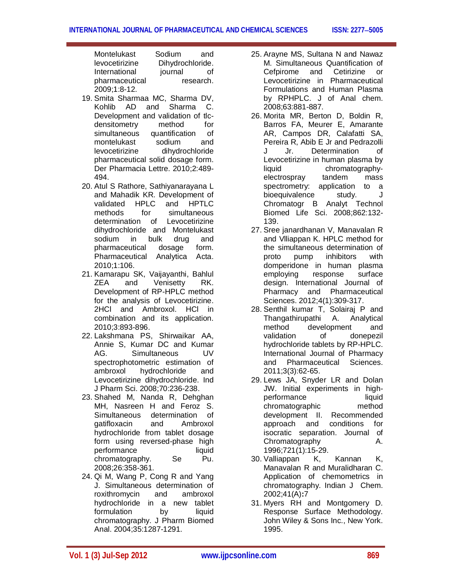Montelukast Sodium and levocetirizine Dihydrochloride.<br>
International iournal of International iournal of pharmaceutical research. 2009;1:8-12.

- 19. Smita Sharmaa MC, Sharma DV, Kohlib AD and Sharma C. Development and validation of tlcdensitometry method for simultaneous quantification of montelukast sodium and levocetirizine dihydrochloride pharmaceutical solid dosage form. Der Pharmacia Lettre. 2010;2:489- 494.
- 20. Atul S Rathore, Sathiyanarayana L and Mahadik KR. Development of validated HPLC and HPTLC methods for simultaneous determination of Levocetirizine dihydrochloride and Montelukast sodium in bulk drug and pharmaceutical dosage form. Pharmaceutical Analytica Acta. 2010;1:106.
- 21. Kamarapu SK, Vaijayanthi, Bahlul ZEA and Venisetty RK. Development of RP-HPLC method for the analysis of Levocetirizine. 2HCl and Ambroxol. HCl in combination and its application. 2010;3:893-896.
- 22. Lakshmana PS, Shirwaikar AA, Annie S, Kumar DC and Kumar AG. Simultaneous UV spectrophotometric estimation of ambroxol hydrochloride and Levocetirizine dihydrochloride. Ind J Pharm Sci. 2008;70:236-238.
- 23. Shahed M, Nanda R, Dehghan MH, Nasreen H and Feroz S. Simultaneous determination of gatifloxacin and Ambroxol hydrochloride from tablet dosage form using reversed-phase high performance liquid chromatography. Se Pu. 2008;26:358-361.
- 24. Qi M, Wang P, Cong R and Yang J. Simultaneous determination of roxithromycin and ambroxol hydrochloride in a new tablet formulation by liquid chromatography. J Pharm Biomed Anal. 2004;35:1287-1291.
- 25. Arayne MS, Sultana N and Nawaz M. Simultaneous Quantification of Cefpirome and Cetirizine or Levocetirizine in Pharmaceutical Formulations and Human Plasma by RPHPLC. J of Anal chem. 2008;63:881-887.
- 26. Morita MR, Berton D, Boldin R, Barros FA, Meurer E, Amarante AR, Campos DR, Calafatti SA, Pereira R, Abib E Jr and Pedrazolli J Jr. Determination of Levocetirizine in human plasma by liquid chromatographyelectrospray tandem mass spectrometry: application to a bioequivalence study. J Chromatogr B Analyt Technol Biomed Life Sci. 2008;862:132- 139.
- 27. Sree janardhanan V, Manavalan R and Vlliappan K. HPLC method for the simultaneous determination of proto pump inhibitors with domperidone in human plasma employing response surface design. International Journal of Pharmacy and Pharmaceutical Sciences. 2012;4(1):309-317.
- 28. Senthil kumar T, Solairaj P and Thangathirupathi A. Analytical method development and validation of donepezil hydrochloride tablets by RP-HPLC. International Journal of Pharmacy and Pharmaceutical Sciences. 2011;3(3):62-65.
- 29. Lews JA, Snyder LR and Dolan JW. Initial experiments in highperformance liquid chromatographic method development II. Recommended approach and conditions for isocratic separation. Journal of Chromatography A. 1996;721(1):15-29.
- 30. Valliappan K, Kannan K, Manavalan R and Muralidharan C. Application of chemometrics in chromatography. Indian J Chem. 2002;41(A)**:**7
- 31. Myers RH and Montgomery D. Response Surface Methodology. John Wiley & Sons Inc., New York. 1995.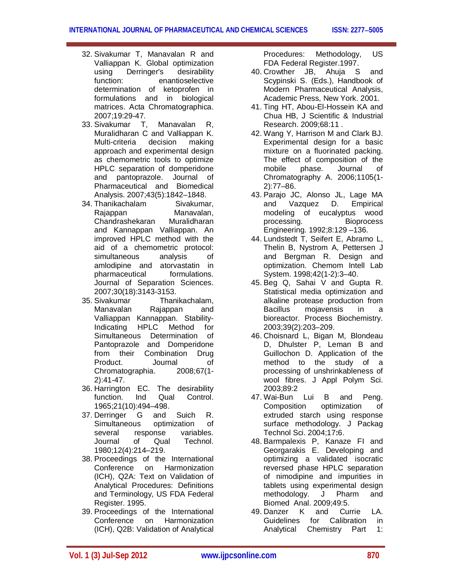- 32. Sivakumar T, Manavalan R and Valliappan K. Global optimization using Derringer's desirability function: enantioselective determination of ketoprofen in formulations and in biological matrices. Acta Chromatographica. 2007;19:29-47.
- 33. Sivakumar T, Manavalan R, Muralidharan C and Valliappan K. Multi-criteria decision making approach and experimental design as chemometric tools to optimize HPLC separation of domperidone and pantoprazole. Journal of Pharmaceutical and Biomedical Analysis. 2007;43(5):1842–1848.
- 34. Thanikachalam Sivakumar, Rajappan Manavalan, Chandrashekaran Muralidharan and Kannappan Valliappan. An improved HPLC method with the aid of a chemometric protocol: simultaneous analysis of amlodipine and atorvastatin in pharmaceutical formulations. Journal of Separation Sciences. 2007;30(18):3143-3153.
- 35. Sivakumar Thanikachalam, Manavalan Rajappan and Valliappan Kannappan. Stability-Indicating HPLC Method for Simultaneous Determination of Pantoprazole and Domperidone from their Combination Drug Product. Journal of Chromatographia. 2008;67(1- 2):41-47.
- 36. Harrington EC. The desirability function. Ind Qual Control. 1965;21(10):494–498.
- 37. Derringer G and Suich R. Simultaneous optimization of several response variables. Journal of Qual Technol. 1980;12(4):214–219.
- 38. Proceedings of the International Conference on Harmonization (ICH), Q2A: Text on Validation of Analytical Procedures: Definitions and Terminology, US FDA Federal Register. 1995.
- 39. Proceedings of the International<br>Conference on Harmonization Conference on (ICH), Q2B: Validation of Analytical

Procedures: Methodology, US FDA Federal Register.1997.

- 40. Crowther JB, Ahuja S and Scypinski S. (Eds.), Handbook of Modern Pharmaceutical Analysis, Academic Press, New York. 2001.
- 41. Ting HT, Abou-El-Hossein KA and Chua HB, J Scientific & Industrial Research. 2009;68:11 .
- 42. Wang Y, Harrison M and Clark BJ. Experimental design for a basic mixture on a fluorinated packing. The effect of composition of the mobile phase. Journal of Chromatography A. 2006;1105(1- 2):77–86.
- 43. Parajo JC, Alonso JL, Lage MA and Vazquez D. Empirical modeling of eucalyptus wood processing. Bioprocess Engineering. 1992;8:129 –136.
- 44. Lundstedt T, Seifert E, Abramo L, Thelin B, Nystrom A, Pettersen J and Bergman R. Design and optimization. Chemom Intell Lab System. 1998;42(1-2):3–40.
- 45. Beg Q, Sahai V and Gupta R. Statistical media optimization and alkaline protease production from Bacillus mojavensis in a bioreactor. Process Biochemistry. 2003;39(2):203–209.
- 46. Choisnard L, Bigan M, Blondeau D, Dhulster P, Leman B and Guillochon D. Application of the method to the study of a processing of unshrinkableness of wool fibres. J Appl Polym Sci. 2003;89:2
- 47. Wai-Bun Lui B and Peng. Composition optimization of extruded starch using response surface methodology. J Packag Technol Sci. 2004;17**:**6.
- 48. Barmpalexis P, Kanaze FI and Georgarakis E. Developing and optimizing a validated isocratic reversed phase HPLC separation of nimodipine and impurities in tablets using experimental design methodology. J Pharm and Biomed Anal. 2009;49:5.
- 49. Danzer K and Currie LA. Guidelines for Calibration in Analytical Chemistry Part 1: